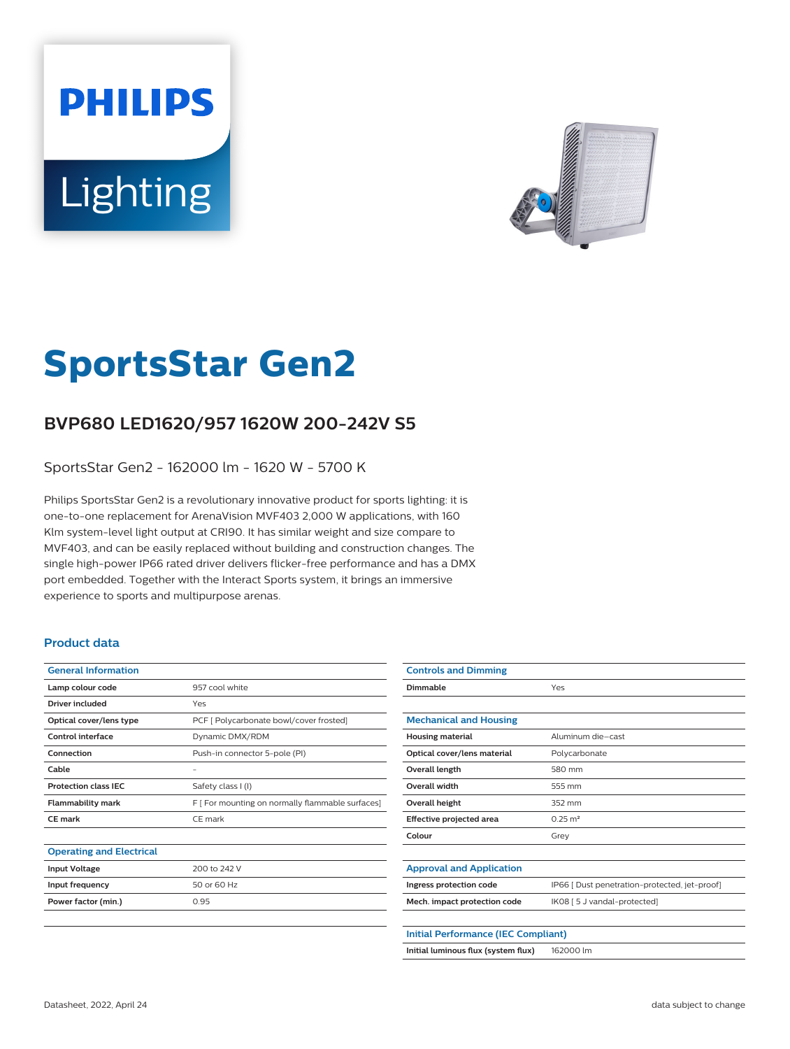# **PHILIPS** Lighting



# **SportsStar Gen2**

# **BVP680 LED1620/957 1620W 200-242V S5**

SportsStar Gen2 - 162000 lm - 1620 W - 5700 K

Philips SportsStar Gen2 is a revolutionary innovative product for sports lighting: it is one-to-one replacement for ArenaVision MVF403 2,000 W applications, with 160 Klm system-level light output at CRI90. It has similar weight and size compare to MVF403, and can be easily replaced without building and construction changes. The single high-power IP66 rated driver delivers flicker-free performance and has a DMX port embedded. Together with the Interact Sports system, it brings an immersive experience to sports and multipurpose arenas.

## **Product data**

| <b>General Information</b>      |                                                  |
|---------------------------------|--------------------------------------------------|
| Lamp colour code                | 957 cool white                                   |
| Driver included                 | Yes                                              |
| Optical cover/lens type         | PCF [ Polycarbonate bowl/cover frosted]          |
| Control interface               | Dynamic DMX/RDM                                  |
| Connection                      | Push-in connector 5-pole (PI)                    |
| Cable                           |                                                  |
| <b>Protection class IFC</b>     | Safety class I (I)                               |
| <b>Flammability mark</b>        | F [ For mounting on normally flammable surfaces] |
| CE mark                         | $CF$ mark                                        |
|                                 |                                                  |
| <b>Operating and Electrical</b> |                                                  |
| <b>Input Voltage</b>            | 200 to 242 V                                     |
| Input frequency                 | 50 or 60 Hz                                      |
| Power factor (min.)             | 0.95                                             |
|                                 |                                                  |

| <b>Controls and Dimming</b>                |                                               |  |
|--------------------------------------------|-----------------------------------------------|--|
| Dimmable                                   | Yes                                           |  |
|                                            |                                               |  |
| <b>Mechanical and Housing</b>              |                                               |  |
| <b>Housing material</b>                    | Aluminum die-cast                             |  |
| Optical cover/lens material                | Polycarbonate                                 |  |
| Overall length                             | 580 mm                                        |  |
| <b>Overall width</b>                       | 555 mm                                        |  |
| Overall height                             | 352 mm                                        |  |
| Effective projected area                   | $0.25 \text{ m}^2$                            |  |
| Colour                                     | Grey                                          |  |
|                                            |                                               |  |
| <b>Approval and Application</b>            |                                               |  |
| Ingress protection code                    | IP66 [ Dust penetration-protected, jet-proof] |  |
| Mech. impact protection code               | IK08 [ 5 J vandal-protected]                  |  |
|                                            |                                               |  |
| <b>Initial Performance (IEC Compliant)</b> |                                               |  |
| Initial luminous flux (system flux)        | 162000 lm                                     |  |